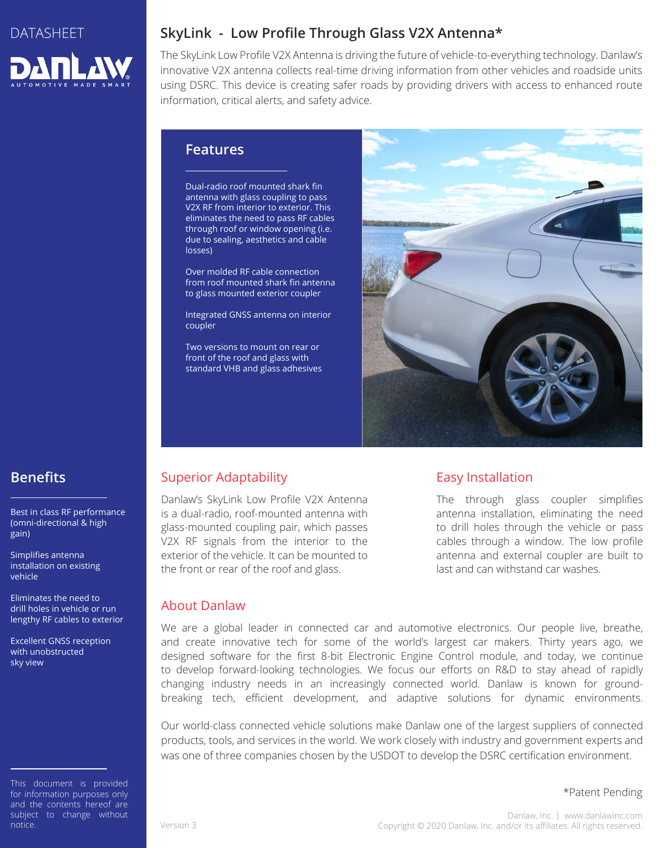

# **SkyLink - Low Profile Through Glass V2X Antenna\***

The SkyLink Low Profile V2X Antenna is driving the future of vehicle-to-everything technology. Danlaw's innovative V2X antenna collects real-time driving information from other vehicles and roadside units using DSRC. This device is creating safer roads by providing drivers with access to enhanced route information, critical alerts, and safety advice.

### **Features**

Dual-radio roof mounted shark fin antenna with glass coupling to pass V2X RF from interior to exterior. This eliminates the need to pass RF cables through roof or window opening (i.e. due to sealing, aesthetics and cable losses)

Over molded RF cable connection from roof mounted shark fin antenna to glass mounted exterior coupler

Integrated GNSS antenna on interior coupler

Two versions to mount on rear or front of the roof and glass with standard VHB and glass adhesives



# **Benefits**

Best in class RF performance (omni-directional & high gain)

Simplifies antenna installation on existing vehicle

Eliminates the need to drill holes in vehicle or run lengthy RF cables to exterior

Excellent GNSS reception with unobstructed sky view

This document is provided for information purposes only and the contents hereof are subject to change without notice.

# Superior Adaptability

Danlaw's SkyLink Low Profile V2X Antenna is a dual-radio, roof-mounted antenna with glass-mounted coupling pair, which passes V2X RF signals from the interior to the exterior of the vehicle. It can be mounted to the front or rear of the roof and glass.

## Easy Installation

The through glass coupler simplifies antenna installation, eliminating the need to drill holes through the vehicle or pass cables through a window. The low profile antenna and external coupler are built to last and can withstand car washes.

## About Danlaw

We are a global leader in connected car and automotive electronics. Our people live, breathe, and create innovative tech for some of the world's largest car makers. Thirty years ago, we designed software for the first 8-bit Electronic Engine Control module, and today, we continue to develop forward-looking technologies. We focus our efforts on R&D to stay ahead of rapidly changing industry needs in an increasingly connected world. Danlaw is known for groundbreaking tech, efficient development, and adaptive solutions for dynamic environments.

Our world-class connected vehicle solutions make Danlaw one of the largest suppliers of connected products, tools, and services in the world. We work closely with industry and government experts and was one of three companies chosen by the USDOT to develop the DSRC certification environment.

\*Patent Pending